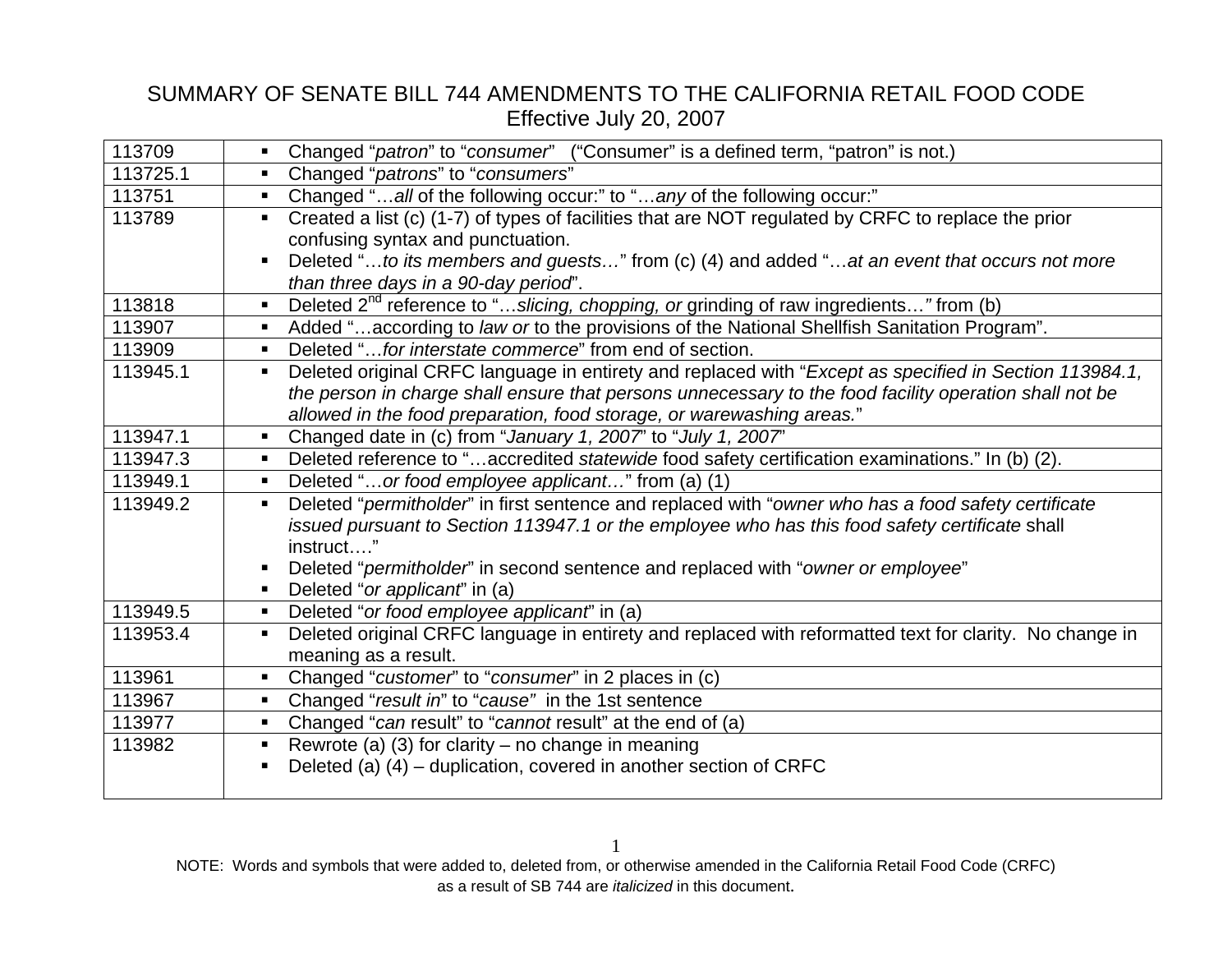| 113709   | Changed "patron" to "consumer" ("Consumer" is a defined term, "patron" is not.)                                          |
|----------|--------------------------------------------------------------------------------------------------------------------------|
| 113725.1 | Changed "patrons" to "consumers"                                                                                         |
| 113751   | Changed "all of the following occur:" to "any of the following occur:"<br>$\blacksquare$                                 |
| 113789   | Created a list (c) (1-7) of types of facilities that are NOT regulated by CRFC to replace the prior                      |
|          | confusing syntax and punctuation.                                                                                        |
|          | Deleted "to its members and guests" from (c) (4) and added "at an event that occurs not more                             |
|          | than three days in a 90-day period".                                                                                     |
| 113818   | Deleted 2 <sup>nd</sup> reference to "slicing, chopping, or grinding of raw ingredients" from (b)                        |
| 113907   | Added "according to law or to the provisions of the National Shellfish Sanitation Program".<br>$\blacksquare$            |
| 113909   | Deleted "for interstate commerce" from end of section.<br>$\blacksquare$                                                 |
| 113945.1 | Deleted original CRFC language in entirety and replaced with "Except as specified in Section 113984.1,<br>$\blacksquare$ |
|          | the person in charge shall ensure that persons unnecessary to the food facility operation shall not be                   |
|          | allowed in the food preparation, food storage, or warewashing areas."                                                    |
| 113947.1 | Changed date in (c) from "January 1, 2007" to "July 1, 2007"<br>$\blacksquare$                                           |
| 113947.3 | Deleted reference to "accredited statewide food safety certification examinations." In (b) (2).<br>$\blacksquare$        |
| 113949.1 | Deleted "or food employee applicant" from (a) (1)<br>$\blacksquare$                                                      |
| 113949.2 | Deleted "permitholder" in first sentence and replaced with "owner who has a food safety certificate<br>$\blacksquare$    |
|          | issued pursuant to Section 113947.1 or the employee who has this food safety certificate shall                           |
|          | instruct"                                                                                                                |
|          | Deleted "permitholder" in second sentence and replaced with "owner or employee"<br>п                                     |
|          | Deleted "or applicant" in (a)                                                                                            |
| 113949.5 | Deleted "or food employee applicant" in (a)<br>$\blacksquare$                                                            |
| 113953.4 | Deleted original CRFC language in entirety and replaced with reformatted text for clarity. No change in                  |
|          | meaning as a result.                                                                                                     |
| 113961   | Changed "customer" to "consumer" in 2 places in (c)                                                                      |
| 113967   | Changed "result in" to "cause" in the 1st sentence<br>$\blacksquare$                                                     |
| 113977   | Changed "can result" to "cannot result" at the end of (a)<br>$\blacksquare$                                              |
| 113982   | Rewrote (a) (3) for clarity – no change in meaning<br>$\blacksquare$                                                     |
|          | Deleted (a) (4) – duplication, covered in another section of CRFC                                                        |
|          |                                                                                                                          |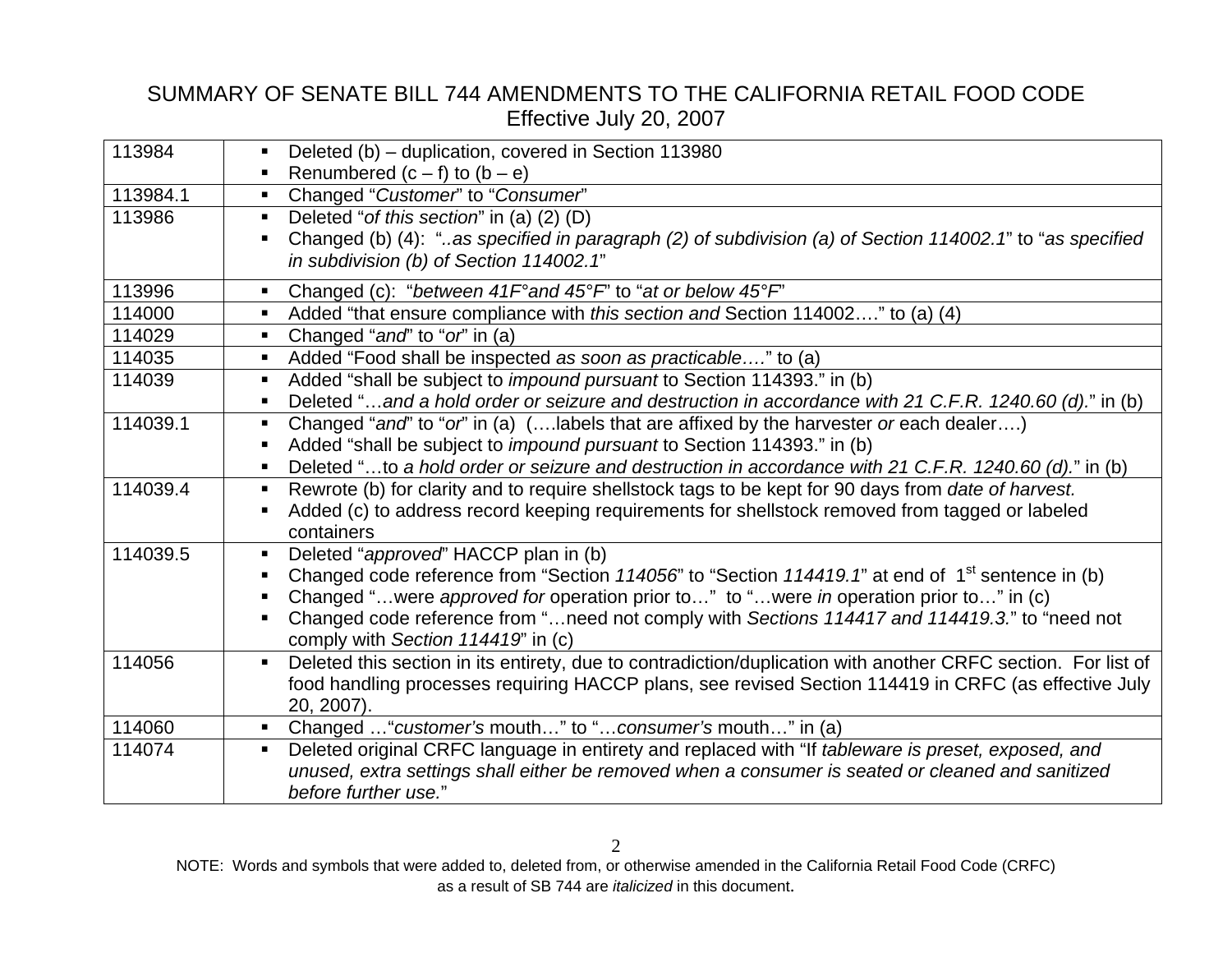| 113984   | Deleted (b) – duplication, covered in Section 113980<br>$\blacksquare$                                                          |
|----------|---------------------------------------------------------------------------------------------------------------------------------|
|          | Renumbered $(c - f)$ to $(b - e)$                                                                                               |
| 113984.1 | Changed "Customer" to "Consumer"<br>$\blacksquare$                                                                              |
| 113986   | Deleted "of this section" in (a) (2) (D)                                                                                        |
|          | Changed (b) (4): "as specified in paragraph (2) of subdivision (a) of Section 114002.1" to "as specified                        |
|          | in subdivision (b) of Section 114002.1"                                                                                         |
| 113996   | Changed (c): "between $41F^{\circ}$ and $45^{\circ}F$ " to "at or below $45^{\circ}F$ "<br>$\blacksquare$                       |
| 114000   | Added "that ensure compliance with this section and Section 114002" to (a) (4)<br>$\blacksquare$                                |
| 114029   | Changed "and" to "or" in (a)<br>$\blacksquare$                                                                                  |
| 114035   | Added "Food shall be inspected as soon as practicable" to (a)<br>$\blacksquare$                                                 |
| 114039   | Added "shall be subject to <i>impound pursuant</i> to Section 114393." in (b)<br>$\blacksquare$                                 |
|          | Deleted "and a hold order or seizure and destruction in accordance with 21 C.F.R. 1240.60 (d)." in (b)<br>$\blacksquare$        |
| 114039.1 | Changed "and" to "or" in (a) ( labels that are affixed by the harvester or each dealer)<br>п                                    |
|          | Added "shall be subject to <i>impound pursuant</i> to Section 114393." in (b)<br>$\blacksquare$                                 |
|          | Deleted "to a hold order or seizure and destruction in accordance with 21 C.F.R. 1240.60 (d)." in (b)<br>$\blacksquare$         |
| 114039.4 | Rewrote (b) for clarity and to require shellstock tags to be kept for 90 days from <i>date of harvest</i> .<br>$\blacksquare$   |
|          | Added (c) to address record keeping requirements for shellstock removed from tagged or labeled<br>$\blacksquare$                |
|          | containers                                                                                                                      |
| 114039.5 | Deleted "approved" HACCP plan in (b)<br>$\blacksquare$                                                                          |
|          | Changed code reference from "Section 114056" to "Section 114419.1" at end of 1 <sup>st</sup> sentence in (b)                    |
|          | Changed "were approved for operation prior to" to "were in operation prior to" in (c)                                           |
|          | Changed code reference from "need not comply with Sections 114417 and 114419.3." to "need not<br>$\blacksquare$                 |
|          | comply with Section 114419" in (c)                                                                                              |
| 114056   | Deleted this section in its entirety, due to contradiction/duplication with another CRFC section. For list of<br>$\blacksquare$ |
|          | food handling processes requiring HACCP plans, see revised Section 114419 in CRFC (as effective July                            |
|          | 20, 2007).                                                                                                                      |
| 114060   | Changed  "customer's mouth" to "consumer's mouth" in (a)                                                                        |
| 114074   | Deleted original CRFC language in entirety and replaced with "If tableware is preset, exposed, and<br>$\blacksquare$            |
|          | unused, extra settings shall either be removed when a consumer is seated or cleaned and sanitized                               |
|          | before further use."                                                                                                            |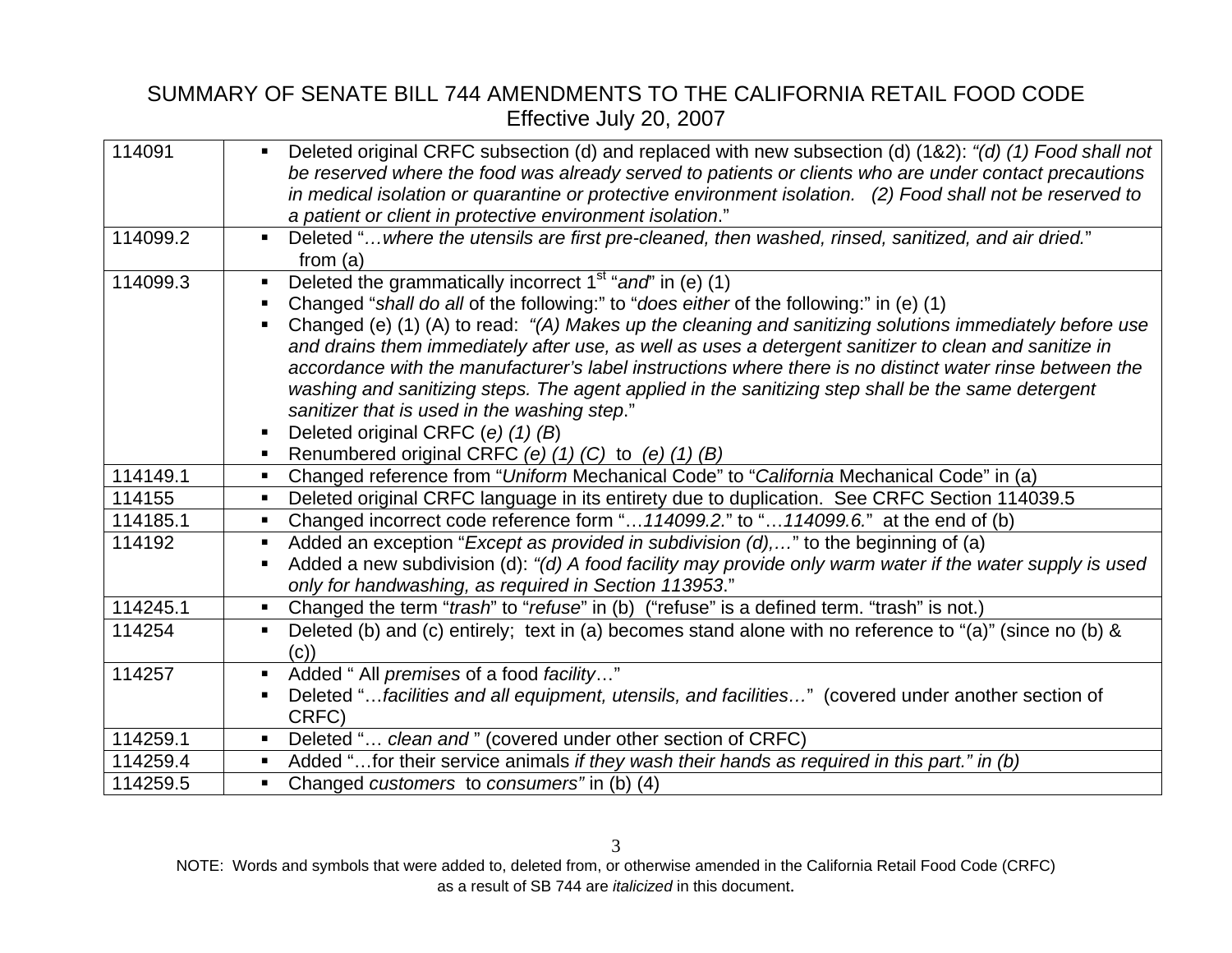| 114091   | Deleted original CRFC subsection (d) and replaced with new subsection (d) (1&2): "(d) (1) Food shall not<br>$\blacksquare$ |
|----------|----------------------------------------------------------------------------------------------------------------------------|
|          | be reserved where the food was already served to patients or clients who are under contact precautions                     |
|          | in medical isolation or quarantine or protective environment isolation. (2) Food shall not be reserved to                  |
|          | a patient or client in protective environment isolation."                                                                  |
| 114099.2 | Deleted "where the utensils are first pre-cleaned, then washed, rinsed, sanitized, and air dried."<br>$\blacksquare$       |
|          | from $(a)$                                                                                                                 |
| 114099.3 | Deleted the grammatically incorrect $1st$ "and" in (e) (1)                                                                 |
|          | Changed "shall do all of the following:" to "does either of the following:" in (e) (1)                                     |
|          | Changed (e) (1) (A) to read: "(A) Makes up the cleaning and sanitizing solutions immediately before use                    |
|          | and drains them immediately after use, as well as uses a detergent sanitizer to clean and sanitize in                      |
|          | accordance with the manufacturer's label instructions where there is no distinct water rinse between the                   |
|          | washing and sanitizing steps. The agent applied in the sanitizing step shall be the same detergent                         |
|          | sanitizer that is used in the washing step."                                                                               |
|          | Deleted original CRFC (e) (1) (B)<br>п                                                                                     |
|          | Renumbered original CRFC (e) $(1)$ (C) to (e) $(1)$ (B)                                                                    |
| 114149.1 | Changed reference from "Uniform Mechanical Code" to "California Mechanical Code" in (a)                                    |
| 114155   | Deleted original CRFC language in its entirety due to duplication. See CRFC Section 114039.5<br>$\blacksquare$             |
| 114185.1 | Changed incorrect code reference form " 114099.2." to " 114099.6." at the end of (b)                                       |
| 114192   | Added an exception "Except as provided in subdivision (d)," to the beginning of (a)<br>$\blacksquare$                      |
|          | Added a new subdivision (d): "(d) A food facility may provide only warm water if the water supply is used                  |
|          | only for handwashing, as required in Section 113953."                                                                      |
| 114245.1 | Changed the term "trash" to "refuse" in (b) ("refuse" is a defined term. "trash" is not.)<br>$\blacksquare$                |
| 114254   | Deleted (b) and (c) entirely; text in (a) becomes stand alone with no reference to "(a)" (since no (b) &                   |
|          | (c)                                                                                                                        |
| 114257   | Added " All premises of a food facility"<br>$\blacksquare$                                                                 |
|          | Deleted "facilities and all equipment, utensils, and facilities" (covered under another section of                         |
|          | CRFC)                                                                                                                      |
| 114259.1 | Deleted " clean and" (covered under other section of CRFC)<br>п                                                            |
| 114259.4 | Added " for their service animals if they wash their hands as required in this part." in (b)                               |
| 114259.5 | Changed <i>customers</i> to <i>consumers</i> " in (b) (4)<br>$\blacksquare$                                                |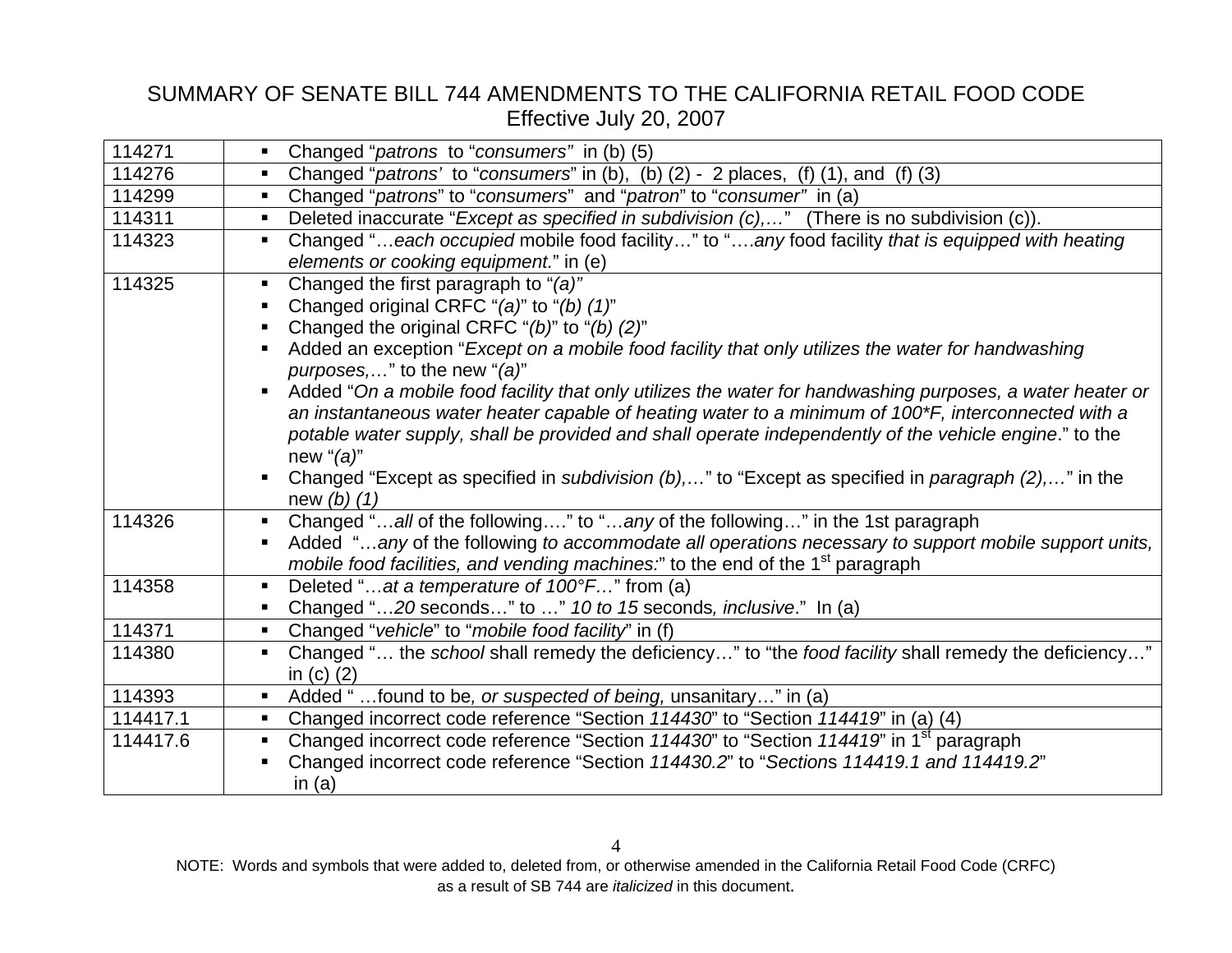| 114271   | Changed "patrons to "consumers" in (b) (5)<br>$\blacksquare$                                                           |
|----------|------------------------------------------------------------------------------------------------------------------------|
| 114276   | Changed "patrons' to "consumers" in (b), (b) $(2)$ - 2 places, $(f)$ $(1)$ , and $(f)$ $(3)$                           |
| 114299   | Changed "patrons" to "consumers" and "patron" to "consumer" in (a)<br>$\blacksquare$                                   |
| 114311   | Deleted inaccurate "Except as specified in subdivision (c)," (There is no subdivision (c)).                            |
| 114323   | Changed "each occupied mobile food facility" to "any food facility that is equipped with heating<br>$\blacksquare$     |
|          | elements or cooking equipment." in (e)                                                                                 |
| 114325   | Changed the first paragraph to "(a)"<br>$\blacksquare$                                                                 |
|          | Changed original CRFC "(a)" to "(b) (1)"                                                                               |
|          | Changed the original CRFC "(b)" to "(b) (2)"<br>٠                                                                      |
|          | Added an exception "Except on a mobile food facility that only utilizes the water for handwashing                      |
|          | <i>purposes,</i> " to the new "(a)"                                                                                    |
|          | Added "On a mobile food facility that only utilizes the water for handwashing purposes, a water heater or              |
|          | an instantaneous water heater capable of heating water to a minimum of 100*F, interconnected with a                    |
|          | potable water supply, shall be provided and shall operate independently of the vehicle engine." to the                 |
|          | new " $(a)$ "                                                                                                          |
|          | Changed "Except as specified in <i>subdivision (b),</i> " to "Except as specified in <i>paragraph (2),</i> " in the    |
|          | new $(b)$ $(1)$                                                                                                        |
| 114326   | Changed "all of the following" to "any of the following" in the 1st paragraph<br>$\blacksquare$                        |
|          | Added "any of the following to accommodate all operations necessary to support mobile support units,                   |
|          | mobile food facilities, and vending machines." to the end of the 1 <sup>st</sup> paragraph                             |
| 114358   | Deleted "at a temperature of 100°F" from (a)                                                                           |
|          | Changed "20 seconds" to " 10 to 15 seconds, inclusive." In (a)                                                         |
| 114371   | Changed "vehicle" to "mobile food facility" in (f)<br>$\blacksquare$                                                   |
| 114380   | Changed " the school shall remedy the deficiency" to "the food facility shall remedy the deficiency"<br>$\blacksquare$ |
|          | in $(c)$ $(2)$                                                                                                         |
| 114393   | Added "found to be, or suspected of being, unsanitary" in (a)<br>$\blacksquare$                                        |
| 114417.1 | Changed incorrect code reference "Section 114430" to "Section 114419" in (a) (4)<br>$\blacksquare$                     |
| 114417.6 | Changed incorrect code reference "Section 114430" to "Section 114419" in 1 <sup>st</sup> paragraph<br>$\blacksquare$   |
|          | Changed incorrect code reference "Section 114430.2" to "Sections 114419.1 and 114419.2"                                |
|          | in $(a)$                                                                                                               |